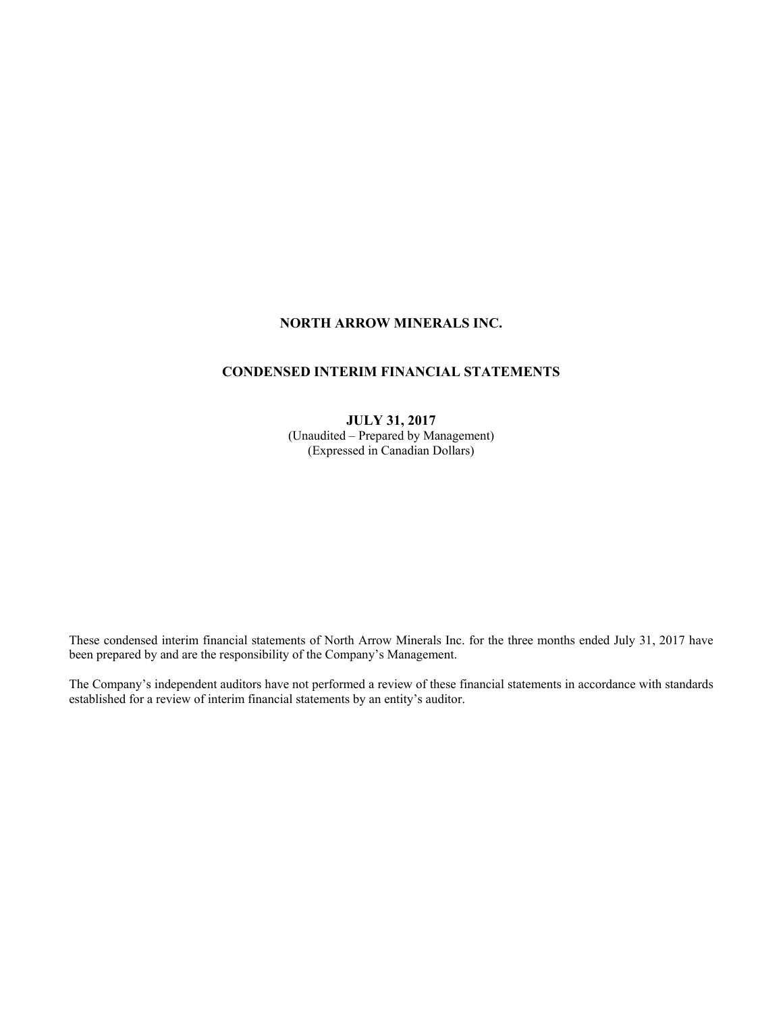# **NORTH ARROW MINERALS INC.**

# **CONDENSED INTERIM FINANCIAL STATEMENTS**

# **JULY 31, 2017**  (Unaudited – Prepared by Management) (Expressed in Canadian Dollars)

These condensed interim financial statements of North Arrow Minerals Inc. for the three months ended July 31, 2017 have been prepared by and are the responsibility of the Company's Management.

The Company's independent auditors have not performed a review of these financial statements in accordance with standards established for a review of interim financial statements by an entity's auditor.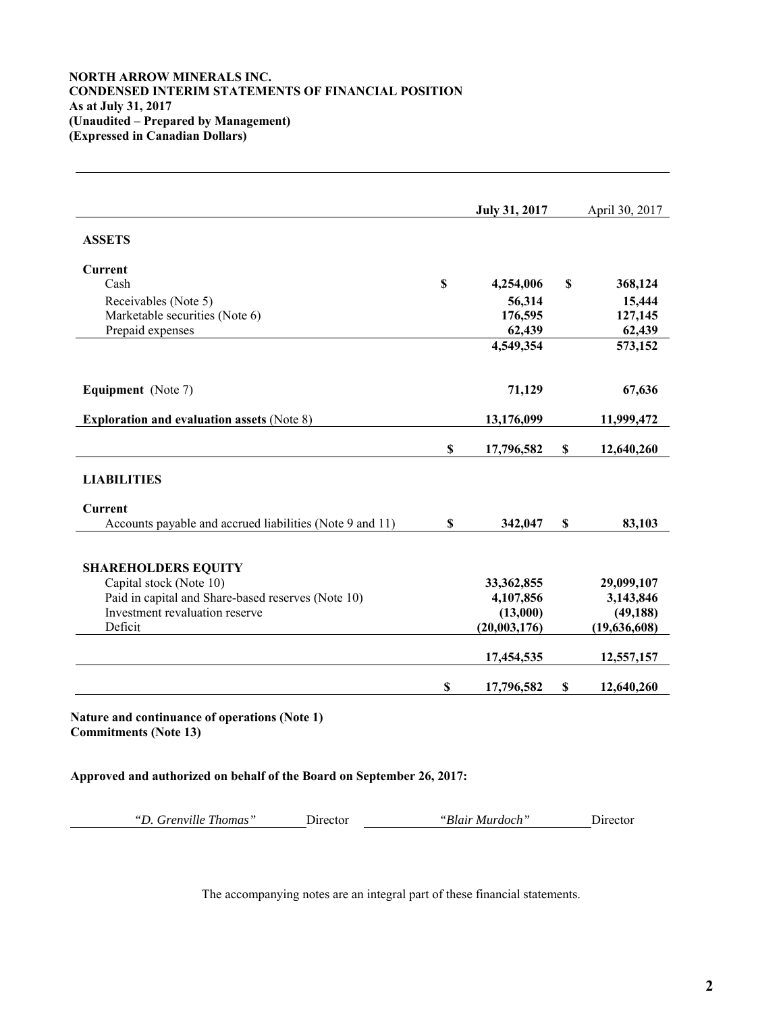# **NORTH ARROW MINERALS INC. CONDENSED INTERIM STATEMENTS OF FINANCIAL POSITION As at July 31, 2017 (Unaudited – Prepared by Management) (Expressed in Canadian Dollars)**

|                                                          |             | <b>July 31, 2017</b> | April 30, 2017   |
|----------------------------------------------------------|-------------|----------------------|------------------|
| <b>ASSETS</b>                                            |             |                      |                  |
| Current                                                  |             |                      |                  |
| Cash                                                     | $\mathbf S$ | 4,254,006            | \$<br>368,124    |
| Receivables (Note 5)                                     |             | 56,314               | 15,444           |
| Marketable securities (Note 6)                           |             | 176,595              | 127,145          |
| Prepaid expenses                                         |             | 62,439               | 62,439           |
|                                                          |             | 4,549,354            | 573,152          |
| Equipment (Note 7)                                       |             | 71,129               | 67,636           |
|                                                          |             |                      |                  |
| <b>Exploration and evaluation assets (Note 8)</b>        |             | 13,176,099           | 11,999,472       |
|                                                          | \$          | 17,796,582           | \$<br>12,640,260 |
| <b>LIABILITIES</b>                                       |             |                      |                  |
| <b>Current</b>                                           |             |                      |                  |
| Accounts payable and accrued liabilities (Note 9 and 11) | $\mathbf S$ | 342,047              | \$<br>83,103     |
|                                                          |             |                      |                  |
| <b>SHAREHOLDERS EQUITY</b>                               |             |                      |                  |
| Capital stock (Note 10)                                  |             | 33,362,855           | 29,099,107       |
| Paid in capital and Share-based reserves (Note 10)       |             | 4,107,856            | 3,143,846        |
| Investment revaluation reserve                           |             | (13,000)             | (49, 188)        |
| Deficit                                                  |             | (20,003,176)         | (19,636,608)     |
|                                                          |             | 17,454,535           | 12,557,157       |
|                                                          |             |                      |                  |
|                                                          | \$          | 17,796,582           | \$<br>12,640,260 |

**Nature and continuance of operations (Note 1) Commitments (Note 13)** 

**Approved and authorized on behalf of the Board on September 26, 2017:**

| "D. Grenville Thomas"<br>"Blair Murdoch"<br>. Jirector<br>Director |
|--------------------------------------------------------------------|
|                                                                    |

The accompanying notes are an integral part of these financial statements.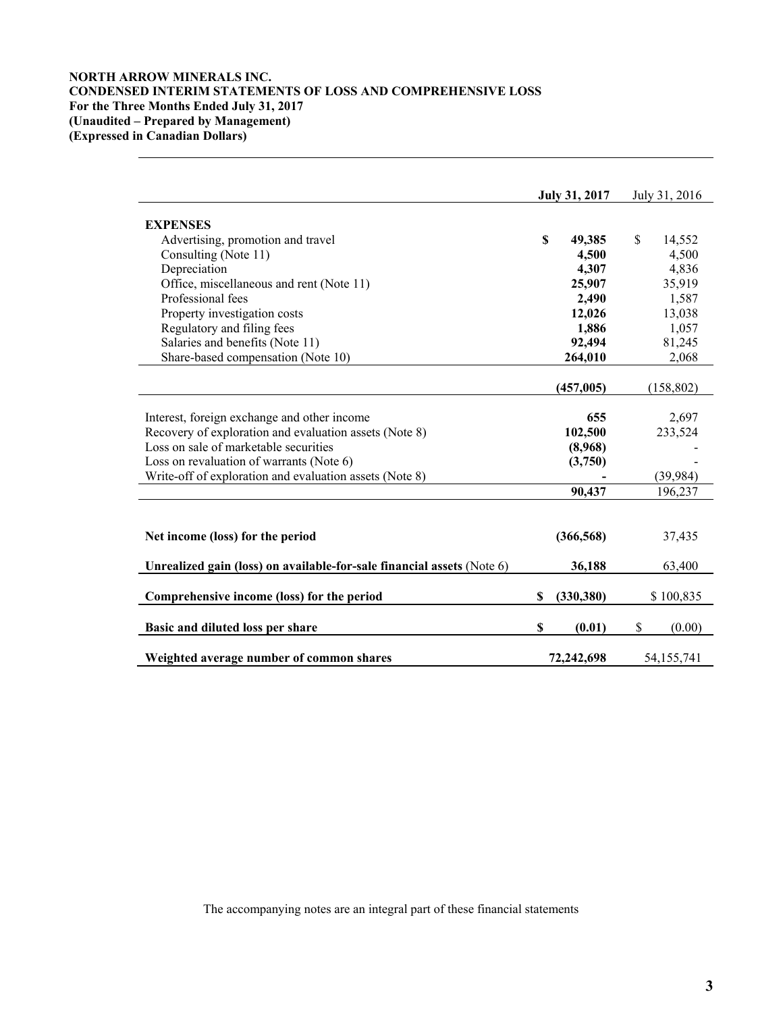# **NORTH ARROW MINERALS INC. CONDENSED INTERIM STATEMENTS OF LOSS AND COMPREHENSIVE LOSS For the Three Months Ended July 31, 2017 (Unaudited – Prepared by Management) (Expressed in Canadian Dollars)**

|                                                                        |    | July 31, 2017 | July 31, 2016 |
|------------------------------------------------------------------------|----|---------------|---------------|
| <b>EXPENSES</b>                                                        |    |               |               |
| Advertising, promotion and travel                                      | S  | 49,385        | \$<br>14,552  |
| Consulting (Note 11)                                                   |    | 4,500         | 4,500         |
| Depreciation                                                           |    | 4,307         | 4,836         |
| Office, miscellaneous and rent (Note 11)                               |    | 25,907        | 35,919        |
| Professional fees                                                      |    | 2,490         | 1,587         |
| Property investigation costs                                           |    | 12,026        | 13,038        |
| Regulatory and filing fees                                             |    | 1,886         | 1,057         |
| Salaries and benefits (Note 11)                                        |    | 92,494        | 81,245        |
| Share-based compensation (Note 10)                                     |    | 264,010       | 2,068         |
|                                                                        |    |               |               |
|                                                                        |    | (457, 005)    | (158, 802)    |
|                                                                        |    |               |               |
| Interest, foreign exchange and other income                            |    | 655           | 2,697         |
| Recovery of exploration and evaluation assets (Note 8)                 |    | 102,500       | 233,524       |
| Loss on sale of marketable securities                                  |    | (8,968)       |               |
| Loss on revaluation of warrants (Note 6)                               |    | (3,750)       |               |
| Write-off of exploration and evaluation assets (Note 8)                |    |               | (39, 984)     |
|                                                                        |    | 90,437        | 196,237       |
|                                                                        |    |               |               |
|                                                                        |    |               |               |
| Net income (loss) for the period                                       |    | (366, 568)    | 37,435        |
|                                                                        |    |               |               |
| Unrealized gain (loss) on available-for-sale financial assets (Note 6) |    | 36,188        | 63,400        |
|                                                                        |    |               |               |
| Comprehensive income (loss) for the period                             | \$ | (330, 380)    | \$100,835     |
| Basic and diluted loss per share                                       | \$ | (0.01)        | \$<br>(0.00)  |
|                                                                        |    |               |               |
| Weighted average number of common shares                               |    | 72,242,698    | 54,155,741    |

The accompanying notes are an integral part of these financial statements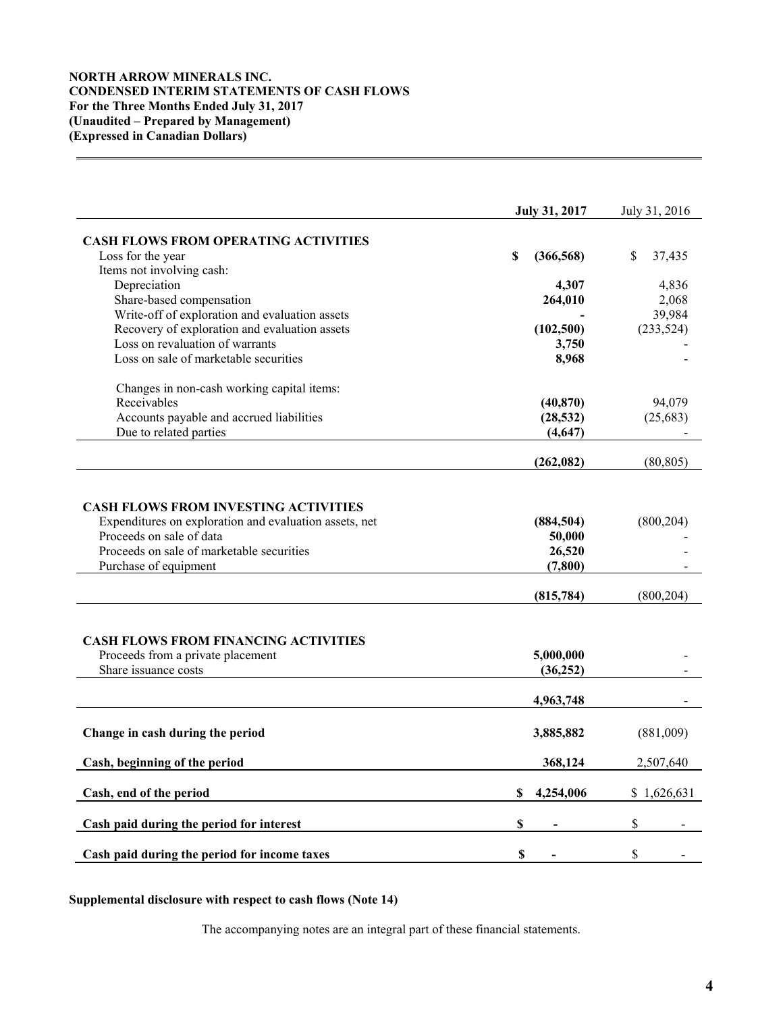# **NORTH ARROW MINERALS INC. CONDENSED INTERIM STATEMENTS OF CASH FLOWS For the Three Months Ended July 31, 2017 (Unaudited – Prepared by Management) (Expressed in Canadian Dollars)**

|                                                                                                                                                                                                         | <b>July 31, 2017</b>                       | July 31, 2016 |
|---------------------------------------------------------------------------------------------------------------------------------------------------------------------------------------------------------|--------------------------------------------|---------------|
| <b>CASH FLOWS FROM OPERATING ACTIVITIES</b>                                                                                                                                                             |                                            |               |
| Loss for the year                                                                                                                                                                                       | \$<br>(366, 568)                           | \$<br>37,435  |
| Items not involving cash:                                                                                                                                                                               |                                            |               |
| Depreciation                                                                                                                                                                                            | 4,307                                      | 4,836         |
| Share-based compensation                                                                                                                                                                                | 264,010                                    | 2,068         |
| Write-off of exploration and evaluation assets                                                                                                                                                          |                                            | 39,984        |
| Recovery of exploration and evaluation assets                                                                                                                                                           | (102, 500)                                 | (233, 524)    |
| Loss on revaluation of warrants                                                                                                                                                                         | 3,750                                      |               |
| Loss on sale of marketable securities                                                                                                                                                                   | 8,968                                      |               |
| Changes in non-cash working capital items:                                                                                                                                                              |                                            |               |
| Receivables                                                                                                                                                                                             | (40, 870)                                  | 94,079        |
| Accounts payable and accrued liabilities                                                                                                                                                                | (28, 532)                                  | (25, 683)     |
| Due to related parties                                                                                                                                                                                  | (4, 647)                                   |               |
|                                                                                                                                                                                                         | (262, 082)                                 | (80, 805)     |
| <b>CASH FLOWS FROM INVESTING ACTIVITIES</b><br>Expenditures on exploration and evaluation assets, net<br>Proceeds on sale of data<br>Proceeds on sale of marketable securities<br>Purchase of equipment | (884, 504)<br>50,000<br>26,520<br>(7, 800) | (800, 204)    |
|                                                                                                                                                                                                         | (815, 784)                                 | (800, 204)    |
| <b>CASH FLOWS FROM FINANCING ACTIVITIES</b><br>Proceeds from a private placement<br>Share issuance costs                                                                                                | 5,000,000<br>(36, 252)                     |               |
|                                                                                                                                                                                                         | 4,963,748                                  |               |
| Change in cash during the period                                                                                                                                                                        | 3,885,882                                  | (881,009)     |
| Cash, beginning of the period                                                                                                                                                                           | 368,124                                    | 2,507,640     |
| Cash, end of the period                                                                                                                                                                                 | \$<br>4,254,006                            | \$1,626,631   |
| Cash paid during the period for interest                                                                                                                                                                | $\mathbb S$                                | \$            |
| Cash paid during the period for income taxes                                                                                                                                                            | \$                                         | \$            |

# **Supplemental disclosure with respect to cash flows (Note 14)**

The accompanying notes are an integral part of these financial statements.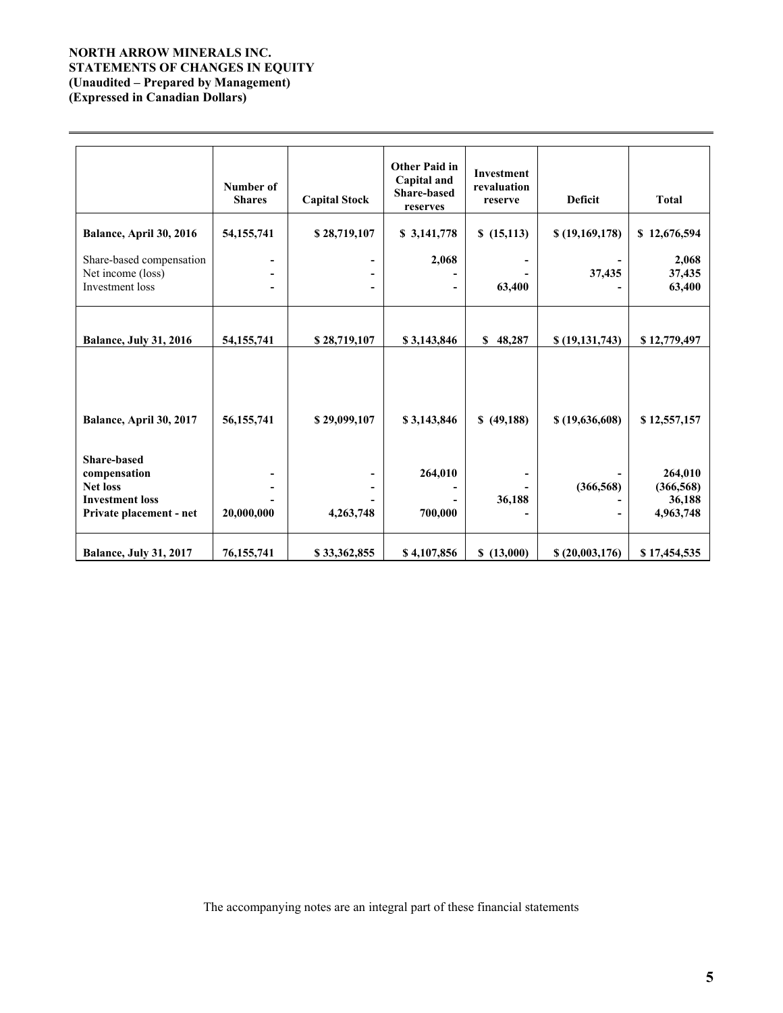# **NORTH ARROW MINERALS INC. STATEMENTS OF CHANGES IN EQUITY (Unaudited – Prepared by Management) (Expressed in Canadian Dollars)**

 $\overline{a}$ 

|                                                                                                            | Number of<br><b>Shares</b>    | <b>Capital Stock</b>             | Other Paid in<br>Capital and<br><b>Share-based</b><br>reserves | <b>Investment</b><br>revaluation<br>reserve | <b>Deficit</b>   | <b>Total</b>                                 |
|------------------------------------------------------------------------------------------------------------|-------------------------------|----------------------------------|----------------------------------------------------------------|---------------------------------------------|------------------|----------------------------------------------|
| Balance, April 30, 2016                                                                                    | 54, 155, 741                  | \$28,719,107                     | \$ 3,141,778                                                   | \$(15,113)                                  | \$(19,169,178)   | \$12,676,594                                 |
| Share-based compensation<br>Net income (loss)<br>Investment loss                                           | $\overline{\phantom{0}}$<br>۰ | $\overline{a}$<br>$\blacksquare$ | 2,068                                                          | 63,400                                      | 37,435           | 2,068<br>37,435<br>63,400                    |
| <b>Balance, July 31, 2016</b>                                                                              | 54, 155, 741                  | \$28,719,107                     | \$3,143,846                                                    | \$48,287                                    | \$(19, 131, 743) | \$12,779,497                                 |
| Balance, April 30, 2017                                                                                    | 56, 155, 741                  | \$29,099,107                     | \$3,143,846                                                    | \$ (49,188)                                 | \$(19,636,608)   | \$12,557,157                                 |
| <b>Share-based</b><br>compensation<br><b>Net loss</b><br><b>Investment loss</b><br>Private placement - net | 20,000,000                    | 4,263,748                        | 264,010<br>700,000                                             | 36,188                                      | (366, 568)       | 264,010<br>(366, 568)<br>36,188<br>4,963,748 |
| <b>Balance, July 31, 2017</b>                                                                              | 76, 155, 741                  | \$33,362,855                     | \$4,107,856                                                    | \$(13,000)                                  | \$(20,003,176)   | \$17,454,535                                 |

The accompanying notes are an integral part of these financial statements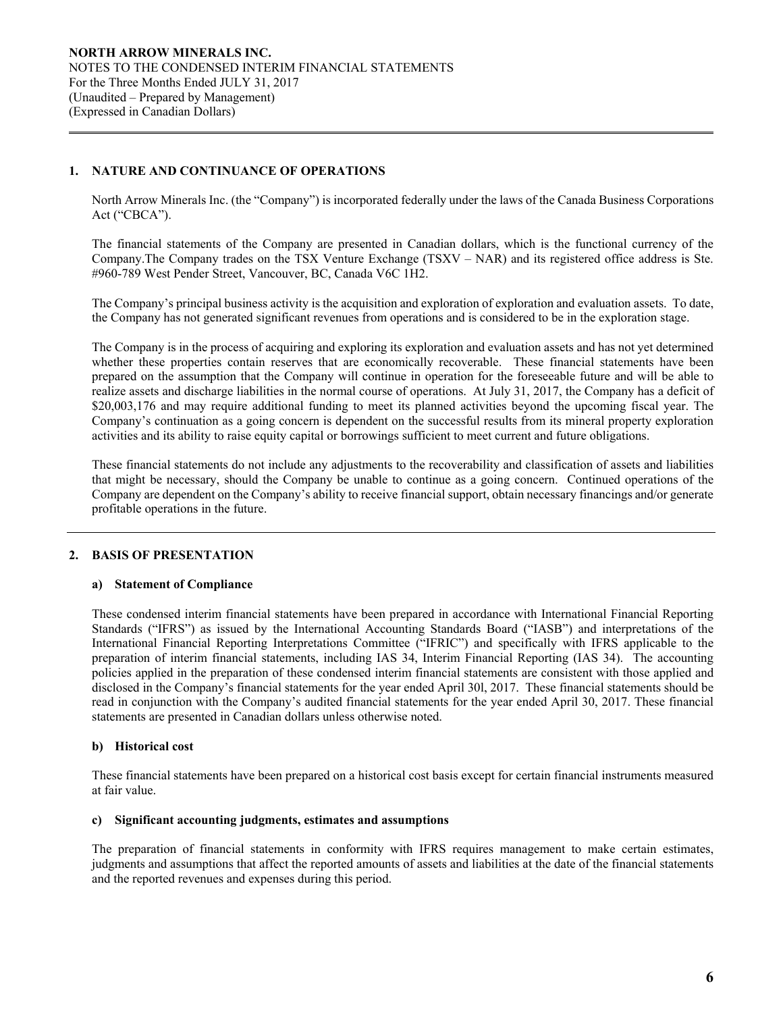# **1. NATURE AND CONTINUANCE OF OPERATIONS**

 $\overline{a}$ 

North Arrow Minerals Inc. (the "Company") is incorporated federally under the laws of the Canada Business Corporations Act ("CBCA").

The financial statements of the Company are presented in Canadian dollars, which is the functional currency of the Company.The Company trades on the TSX Venture Exchange (TSXV – NAR) and its registered office address is Ste. #960-789 West Pender Street, Vancouver, BC, Canada V6C 1H2.

The Company's principal business activity is the acquisition and exploration of exploration and evaluation assets. To date, the Company has not generated significant revenues from operations and is considered to be in the exploration stage.

The Company is in the process of acquiring and exploring its exploration and evaluation assets and has not yet determined whether these properties contain reserves that are economically recoverable. These financial statements have been prepared on the assumption that the Company will continue in operation for the foreseeable future and will be able to realize assets and discharge liabilities in the normal course of operations. At July 31, 2017, the Company has a deficit of \$20,003,176 and may require additional funding to meet its planned activities beyond the upcoming fiscal year. The Company's continuation as a going concern is dependent on the successful results from its mineral property exploration activities and its ability to raise equity capital or borrowings sufficient to meet current and future obligations.

These financial statements do not include any adjustments to the recoverability and classification of assets and liabilities that might be necessary, should the Company be unable to continue as a going concern. Continued operations of the Company are dependent on the Company's ability to receive financial support, obtain necessary financings and/or generate profitable operations in the future.

# **2. BASIS OF PRESENTATION**

# **a) Statement of Compliance**

These condensed interim financial statements have been prepared in accordance with International Financial Reporting Standards ("IFRS") as issued by the International Accounting Standards Board ("IASB") and interpretations of the International Financial Reporting Interpretations Committee ("IFRIC") and specifically with IFRS applicable to the preparation of interim financial statements, including IAS 34, Interim Financial Reporting (IAS 34). The accounting policies applied in the preparation of these condensed interim financial statements are consistent with those applied and disclosed in the Company's financial statements for the year ended April 30l, 2017. These financial statements should be read in conjunction with the Company's audited financial statements for the year ended April 30, 2017. These financial statements are presented in Canadian dollars unless otherwise noted.

# **b) Historical cost**

These financial statements have been prepared on a historical cost basis except for certain financial instruments measured at fair value.

#### **c) Significant accounting judgments, estimates and assumptions**

The preparation of financial statements in conformity with IFRS requires management to make certain estimates, judgments and assumptions that affect the reported amounts of assets and liabilities at the date of the financial statements and the reported revenues and expenses during this period.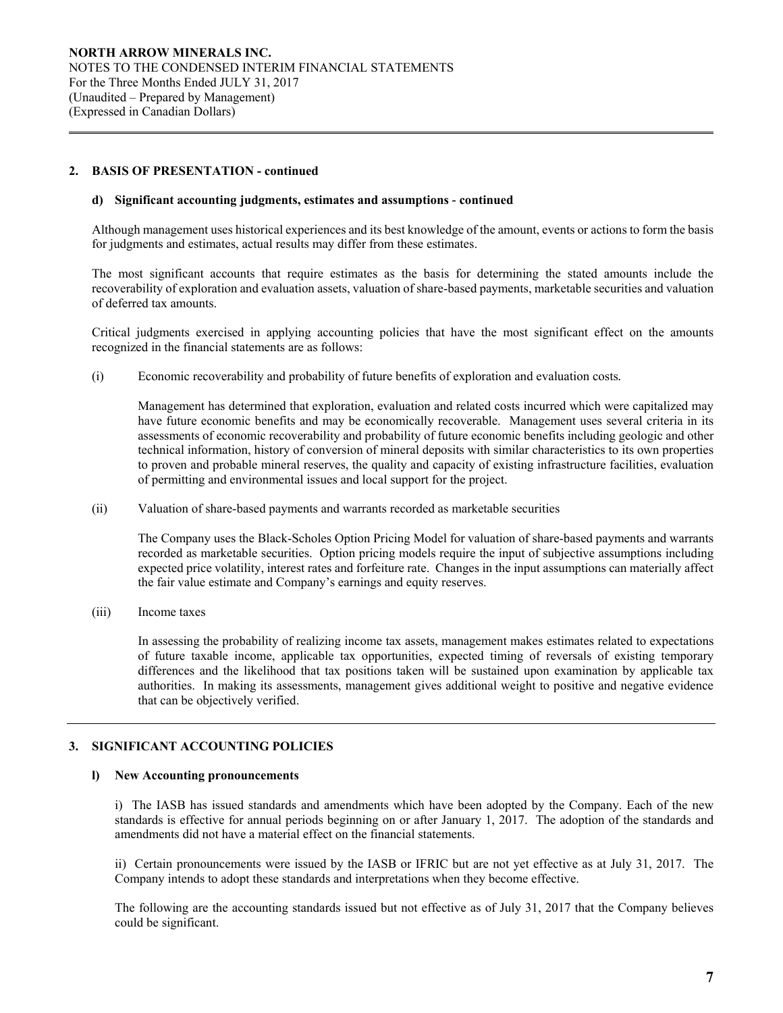### **2. BASIS OF PRESENTATION - continued**

 $\overline{a}$ 

#### **d) Significant accounting judgments, estimates and assumptions** *-* **continued**

Although management uses historical experiences and its best knowledge of the amount, events or actions to form the basis for judgments and estimates, actual results may differ from these estimates.

The most significant accounts that require estimates as the basis for determining the stated amounts include the recoverability of exploration and evaluation assets, valuation of share-based payments, marketable securities and valuation of deferred tax amounts.

Critical judgments exercised in applying accounting policies that have the most significant effect on the amounts recognized in the financial statements are as follows:

(i) Economic recoverability and probability of future benefits of exploration and evaluation costs*.* 

 Management has determined that exploration, evaluation and related costs incurred which were capitalized may have future economic benefits and may be economically recoverable. Management uses several criteria in its assessments of economic recoverability and probability of future economic benefits including geologic and other technical information, history of conversion of mineral deposits with similar characteristics to its own properties to proven and probable mineral reserves, the quality and capacity of existing infrastructure facilities, evaluation of permitting and environmental issues and local support for the project.

(ii) Valuation of share-based payments and warrants recorded as marketable securities

The Company uses the Black-Scholes Option Pricing Model for valuation of share-based payments and warrants recorded as marketable securities. Option pricing models require the input of subjective assumptions including expected price volatility, interest rates and forfeiture rate. Changes in the input assumptions can materially affect the fair value estimate and Company's earnings and equity reserves.

(iii) Income taxes

In assessing the probability of realizing income tax assets, management makes estimates related to expectations of future taxable income, applicable tax opportunities, expected timing of reversals of existing temporary differences and the likelihood that tax positions taken will be sustained upon examination by applicable tax authorities. In making its assessments, management gives additional weight to positive and negative evidence that can be objectively verified.

# **3. SIGNIFICANT ACCOUNTING POLICIES**

#### **l) New Accounting pronouncements**

i) The IASB has issued standards and amendments which have been adopted by the Company. Each of the new standards is effective for annual periods beginning on or after January 1, 2017. The adoption of the standards and amendments did not have a material effect on the financial statements.

ii) Certain pronouncements were issued by the IASB or IFRIC but are not yet effective as at July 31, 2017. The Company intends to adopt these standards and interpretations when they become effective.

The following are the accounting standards issued but not effective as of July 31, 2017 that the Company believes could be significant.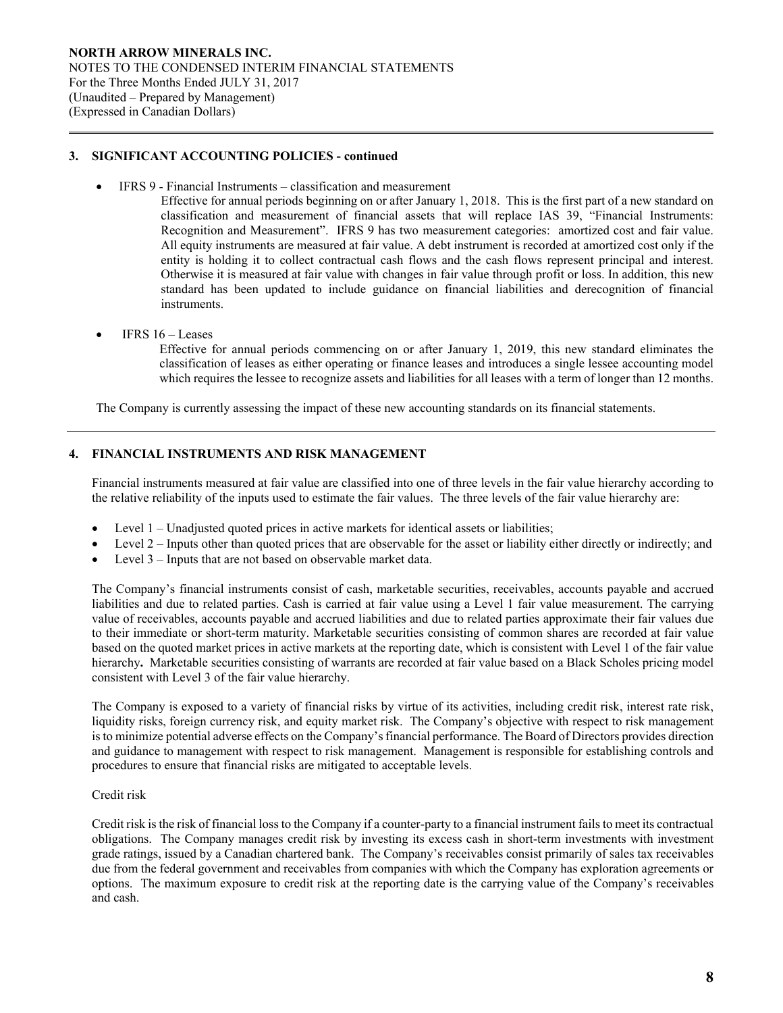### **3. SIGNIFICANT ACCOUNTING POLICIES - continued**

IFRS 9 - Financial Instruments – classification and measurement

Effective for annual periods beginning on or after January 1, 2018. This is the first part of a new standard on classification and measurement of financial assets that will replace IAS 39, "Financial Instruments: Recognition and Measurement". IFRS 9 has two measurement categories: amortized cost and fair value. All equity instruments are measured at fair value. A debt instrument is recorded at amortized cost only if the entity is holding it to collect contractual cash flows and the cash flows represent principal and interest. Otherwise it is measured at fair value with changes in fair value through profit or loss. In addition, this new standard has been updated to include guidance on financial liabilities and derecognition of financial instruments.

IFRS 16 – Leases

 $\overline{a}$ 

Effective for annual periods commencing on or after January 1, 2019, this new standard eliminates the classification of leases as either operating or finance leases and introduces a single lessee accounting model which requires the lessee to recognize assets and liabilities for all leases with a term of longer than 12 months.

The Company is currently assessing the impact of these new accounting standards on its financial statements.

### **4. FINANCIAL INSTRUMENTS AND RISK MANAGEMENT**

Financial instruments measured at fair value are classified into one of three levels in the fair value hierarchy according to the relative reliability of the inputs used to estimate the fair values. The three levels of the fair value hierarchy are:

- Level 1 Unadjusted quoted prices in active markets for identical assets or liabilities;
- Level 2 Inputs other than quoted prices that are observable for the asset or liability either directly or indirectly; and
- Level 3 Inputs that are not based on observable market data.

The Company's financial instruments consist of cash, marketable securities, receivables, accounts payable and accrued liabilities and due to related parties. Cash is carried at fair value using a Level 1 fair value measurement. The carrying value of receivables, accounts payable and accrued liabilities and due to related parties approximate their fair values due to their immediate or short-term maturity. Marketable securities consisting of common shares are recorded at fair value based on the quoted market prices in active markets at the reporting date, which is consistent with Level 1 of the fair value hierarchy**.** Marketable securities consisting of warrants are recorded at fair value based on a Black Scholes pricing model consistent with Level 3 of the fair value hierarchy.

The Company is exposed to a variety of financial risks by virtue of its activities, including credit risk, interest rate risk, liquidity risks, foreign currency risk, and equity market risk. The Company's objective with respect to risk management is to minimize potential adverse effects on the Company's financial performance. The Board of Directors provides direction and guidance to management with respect to risk management. Management is responsible for establishing controls and procedures to ensure that financial risks are mitigated to acceptable levels.

### Credit risk

Credit risk is the risk of financial loss to the Company if a counter-party to a financial instrument fails to meet its contractual obligations. The Company manages credit risk by investing its excess cash in short-term investments with investment grade ratings, issued by a Canadian chartered bank. The Company's receivables consist primarily of sales tax receivables due from the federal government and receivables from companies with which the Company has exploration agreements or options. The maximum exposure to credit risk at the reporting date is the carrying value of the Company's receivables and cash.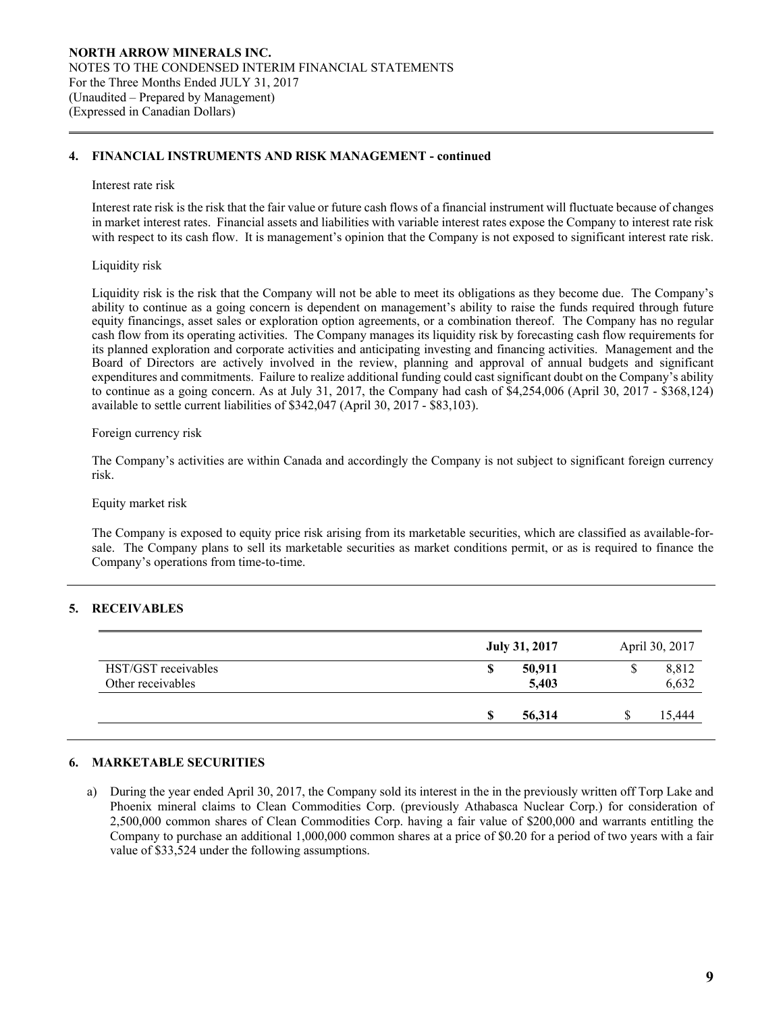### **4. FINANCIAL INSTRUMENTS AND RISK MANAGEMENT - continued**

#### Interest rate risk

 $\overline{a}$ 

Interest rate risk is the risk that the fair value or future cash flows of a financial instrument will fluctuate because of changes in market interest rates. Financial assets and liabilities with variable interest rates expose the Company to interest rate risk with respect to its cash flow. It is management's opinion that the Company is not exposed to significant interest rate risk.

#### Liquidity risk

Liquidity risk is the risk that the Company will not be able to meet its obligations as they become due. The Company's ability to continue as a going concern is dependent on management's ability to raise the funds required through future equity financings, asset sales or exploration option agreements, or a combination thereof. The Company has no regular cash flow from its operating activities. The Company manages its liquidity risk by forecasting cash flow requirements for its planned exploration and corporate activities and anticipating investing and financing activities. Management and the Board of Directors are actively involved in the review, planning and approval of annual budgets and significant expenditures and commitments. Failure to realize additional funding could cast significant doubt on the Company's ability to continue as a going concern. As at July 31, 2017, the Company had cash of \$4,254,006 (April 30, 2017 - \$368,124) available to settle current liabilities of \$342,047 (April 30, 2017 - \$83,103).

### Foreign currency risk

The Company's activities are within Canada and accordingly the Company is not subject to significant foreign currency risk.

Equity market risk

The Company is exposed to equity price risk arising from its marketable securities, which are classified as available-forsale. The Company plans to sell its marketable securities as market conditions permit, or as is required to finance the Company's operations from time-to-time.

# **5. RECEIVABLES**

|                                          | July 31, 2017        | April 30, 2017      |
|------------------------------------------|----------------------|---------------------|
| HST/GST receivables<br>Other receivables | 50,911<br>S<br>5,403 | 8,812<br>J<br>6,632 |
|                                          | 56,314<br>S          | 15,444              |

# **6. MARKETABLE SECURITIES**

a) During the year ended April 30, 2017, the Company sold its interest in the in the previously written off Torp Lake and Phoenix mineral claims to Clean Commodities Corp. (previously Athabasca Nuclear Corp.) for consideration of 2,500,000 common shares of Clean Commodities Corp. having a fair value of \$200,000 and warrants entitling the Company to purchase an additional 1,000,000 common shares at a price of \$0.20 for a period of two years with a fair value of \$33,524 under the following assumptions.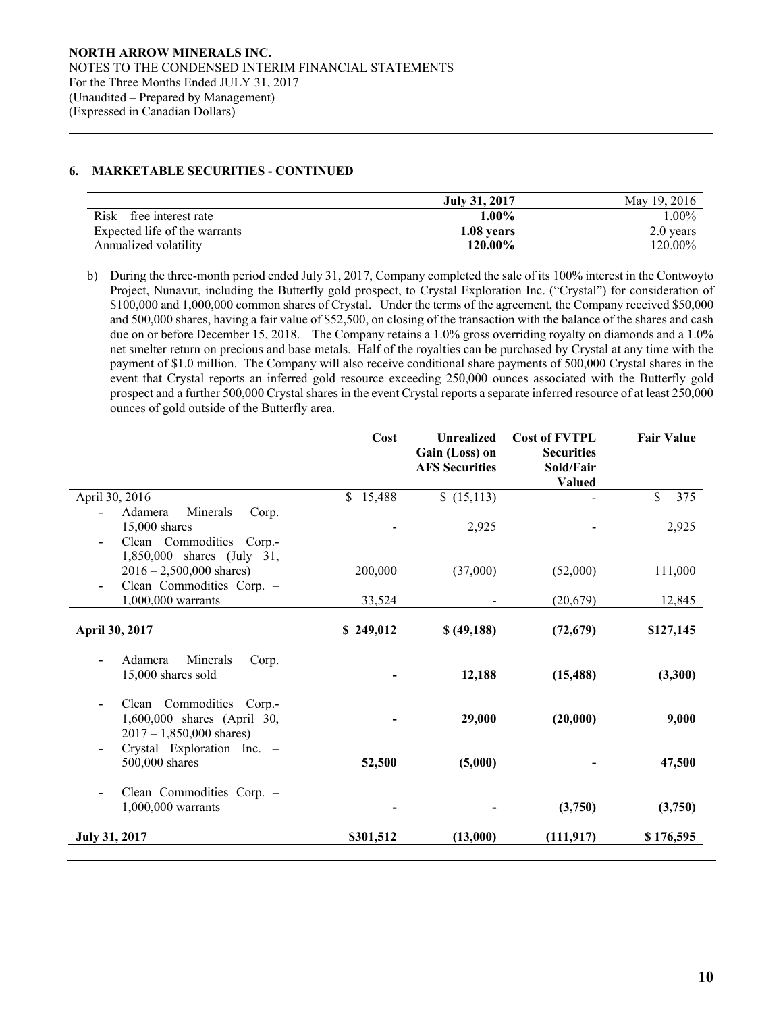# **6. MARKETABLE SECURITIES - CONTINUED**

 $\overline{a}$ 

|                               | July 31, 2017 | May 19, 2016 |
|-------------------------------|---------------|--------------|
| $Risk - free$ interest rate   | $1.00\%$      | l.00%        |
| Expected life of the warrants | 1.08 years    | 2.0 years    |
| Annualized volatility         | 120.00%       | $120.00\%$   |

b) During the three-month period ended July 31, 2017, Company completed the sale of its 100% interest in the Contwoyto Project, Nunavut, including the Butterfly gold prospect, to Crystal Exploration Inc. ("Crystal") for consideration of \$100,000 and 1,000,000 common shares of Crystal. Under the terms of the agreement, the Company received \$50,000 and 500,000 shares, having a fair value of \$52,500, on closing of the transaction with the balance of the shares and cash due on or before December 15, 2018. The Company retains a 1.0% gross overriding royalty on diamonds and a 1.0% net smelter return on precious and base metals. Half of the royalties can be purchased by Crystal at any time with the payment of \$1.0 million. The Company will also receive conditional share payments of 500,000 Crystal shares in the event that Crystal reports an inferred gold resource exceeding 250,000 ounces associated with the Butterfly gold prospect and a further 500,000 Crystal shares in the event Crystal reports a separate inferred resource of at least 250,000 ounces of gold outside of the Butterfly area.

|                                                                                                         | Cost      | <b>Unrealized</b><br>Gain (Loss) on<br><b>AFS Securities</b> | <b>Cost of FVTPL</b><br><b>Securities</b><br>Sold/Fair<br><b>Valued</b> | <b>Fair Value</b> |
|---------------------------------------------------------------------------------------------------------|-----------|--------------------------------------------------------------|-------------------------------------------------------------------------|-------------------|
| April 30, 2016                                                                                          | \$15,488  | (15,113)                                                     |                                                                         | \$<br>375         |
| Minerals<br>Adamera<br>Corp.<br>15,000 shares<br>Clean Commodities Corp.-<br>1,850,000 shares (July 31, |           | 2,925                                                        |                                                                         | 2,925             |
| $2016 - 2,500,000$ shares)                                                                              | 200,000   | (37,000)                                                     | (52,000)                                                                | 111,000           |
| Clean Commodities Corp. -<br>1,000,000 warrants                                                         | 33,524    |                                                              | (20,679)                                                                | 12,845            |
| April 30, 2017                                                                                          | \$249,012 | \$ (49,188)                                                  | (72, 679)                                                               | \$127,145         |
| Adamera<br>Minerals<br>Corp.<br>15,000 shares sold                                                      |           | 12,188                                                       | (15, 488)                                                               | (3,300)           |
| Clean Commodities Corp.-<br>1,600,000 shares (April 30,<br>$2017 - 1,850,000$ shares)                   |           | 29,000                                                       | (20,000)                                                                | 9,000             |
| Crystal Exploration Inc. -<br>500,000 shares                                                            | 52,500    | (5,000)                                                      |                                                                         | 47,500            |
| Clean Commodities Corp. -<br>1,000,000 warrants                                                         |           |                                                              | (3,750)                                                                 | (3,750)           |
| July 31, 2017                                                                                           | \$301,512 | (13,000)                                                     | (111, 917)                                                              | \$176,595         |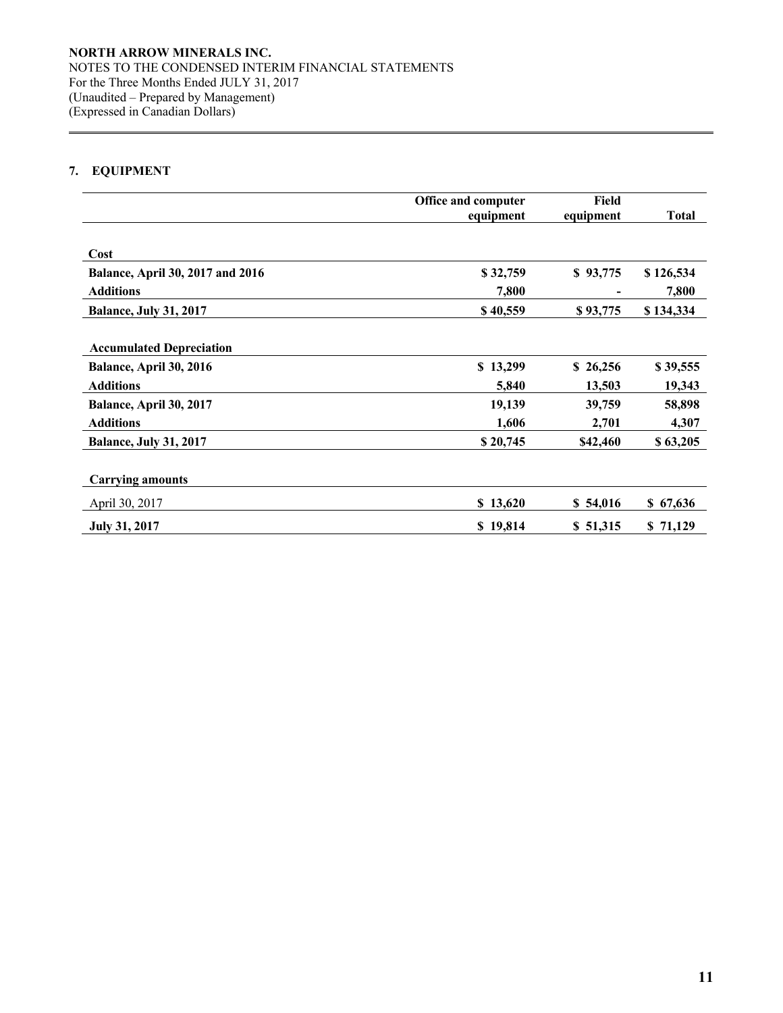# **7. EQUIPMENT**

 $\overline{a}$ 

|                                  | Office and computer | Field     |              |
|----------------------------------|---------------------|-----------|--------------|
|                                  | equipment           | equipment | <b>Total</b> |
| Cost                             |                     |           |              |
| Balance, April 30, 2017 and 2016 | \$32,759            | \$93,775  | \$126,534    |
| <b>Additions</b>                 | 7,800               |           | 7,800        |
| <b>Balance, July 31, 2017</b>    | \$40,559            | \$93,775  | \$134,334    |
|                                  |                     |           |              |
| <b>Accumulated Depreciation</b>  |                     |           |              |
| Balance, April 30, 2016          | \$13,299            | \$26,256  | \$39,555     |
| <b>Additions</b>                 | 5,840               | 13,503    | 19,343       |
| Balance, April 30, 2017          | 19,139              | 39,759    | 58,898       |
| <b>Additions</b>                 | 1,606               | 2,701     | 4,307        |
| <b>Balance, July 31, 2017</b>    | \$20,745            | \$42,460  | \$63,205     |
|                                  |                     |           |              |
| <b>Carrying amounts</b>          |                     |           |              |
| April 30, 2017                   | \$13,620            | \$54,016  | \$67,636     |
| <b>July 31, 2017</b>             | \$19,814            | \$51,315  | \$71,129     |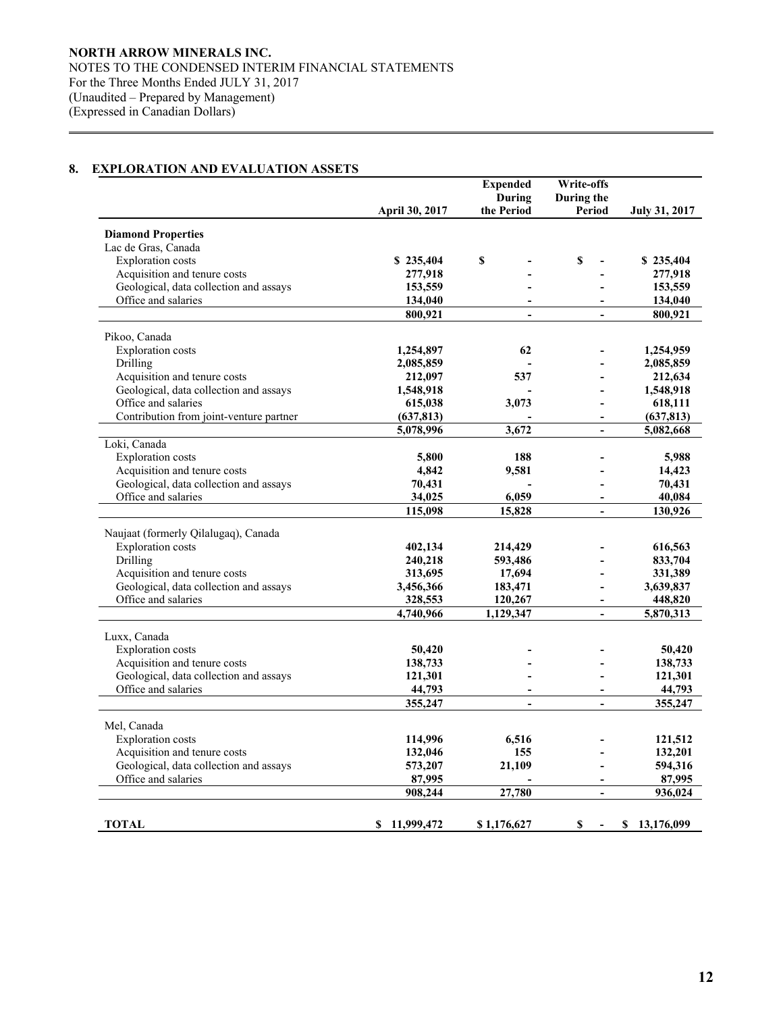# **8. EXPLORATION AND EVALUATION ASSETS**

 $\overline{a}$ 

|                                         |                | <b>Expended</b> | <b>Write-offs</b>            |                      |
|-----------------------------------------|----------------|-----------------|------------------------------|----------------------|
|                                         |                | <b>During</b>   | During the                   |                      |
|                                         | April 30, 2017 | the Period      | Period                       | <b>July 31, 2017</b> |
| <b>Diamond Properties</b>               |                |                 |                              |                      |
| Lac de Gras, Canada                     |                |                 |                              |                      |
| <b>Exploration</b> costs                | \$235,404      | \$              | \$                           | \$235,404            |
| Acquisition and tenure costs            | 277,918        |                 |                              | 277,918              |
| Geological, data collection and assays  | 153,559        |                 |                              | 153,559              |
| Office and salaries                     | 134,040        |                 |                              | 134,040              |
|                                         | 800,921        |                 |                              | 800,921              |
|                                         |                |                 |                              |                      |
| Pikoo, Canada                           |                |                 |                              |                      |
| <b>Exploration</b> costs                | 1,254,897      | 62              |                              | 1,254,959            |
| Drilling                                | 2,085,859      |                 |                              | 2,085,859            |
| Acquisition and tenure costs            | 212,097        | 537             |                              | 212,634              |
| Geological, data collection and assays  | 1,548,918      |                 |                              | 1,548,918            |
| Office and salaries                     | 615,038        | 3,073           |                              | 618,111              |
| Contribution from joint-venture partner | (637, 813)     |                 | $\qquad \qquad \blacksquare$ | (637, 813)           |
|                                         | 5,078,996      | 3,672           |                              | 5,082,668            |
| Loki, Canada                            |                |                 |                              |                      |
| <b>Exploration</b> costs                | 5,800          | 188             |                              | 5,988                |
| Acquisition and tenure costs            | 4,842          | 9,581           |                              | 14,423               |
| Geological, data collection and assays  | 70,431         |                 |                              | 70,431               |
| Office and salaries                     | 34,025         | 6,059           | $\blacksquare$               | 40,084               |
|                                         | 115,098        | 15,828          | $\overline{a}$               | 130,926              |
| Naujaat (formerly Qilalugaq), Canada    |                |                 |                              |                      |
| <b>Exploration</b> costs                | 402,134        | 214,429         |                              | 616,563              |
| Drilling                                | 240,218        | 593,486         |                              | 833,704              |
| Acquisition and tenure costs            | 313,695        | 17,694          |                              | 331,389              |
| Geological, data collection and assays  | 3,456,366      | 183,471         |                              | 3,639,837            |
| Office and salaries                     | 328,553        | 120,267         | $\overline{a}$               | 448,820              |
|                                         | 4,740,966      | 1,129,347       |                              | 5,870,313            |
|                                         |                |                 |                              |                      |
| Luxx, Canada                            |                |                 |                              |                      |
| <b>Exploration</b> costs                | 50,420         |                 |                              | 50,420               |
| Acquisition and tenure costs            | 138,733        |                 |                              | 138,733              |
| Geological, data collection and assays  | 121,301        |                 |                              | 121,301              |
| Office and salaries                     | 44,793         | $\blacksquare$  | $\overline{\phantom{a}}$     | 44,793               |
|                                         | 355,247        |                 | $\overline{a}$               | 355,247              |
| Mel, Canada                             |                |                 |                              |                      |
| <b>Exploration</b> costs                | 114,996        | 6,516           |                              | 121,512              |
| Acquisition and tenure costs            | 132,046        | 155             |                              | 132,201              |
| Geological, data collection and assays  | 573,207        | 21,109          |                              | 594,316              |
| Office and salaries                     | 87,995         |                 | L,                           | 87,995               |
|                                         | 908,244        | 27,780          | $\overline{a}$               | 936,024              |
|                                         |                |                 |                              |                      |
|                                         |                |                 |                              |                      |
| <b>TOTAL</b>                            | \$11,999,472   | \$1,176,627     | \$                           | \$<br>13,176,099     |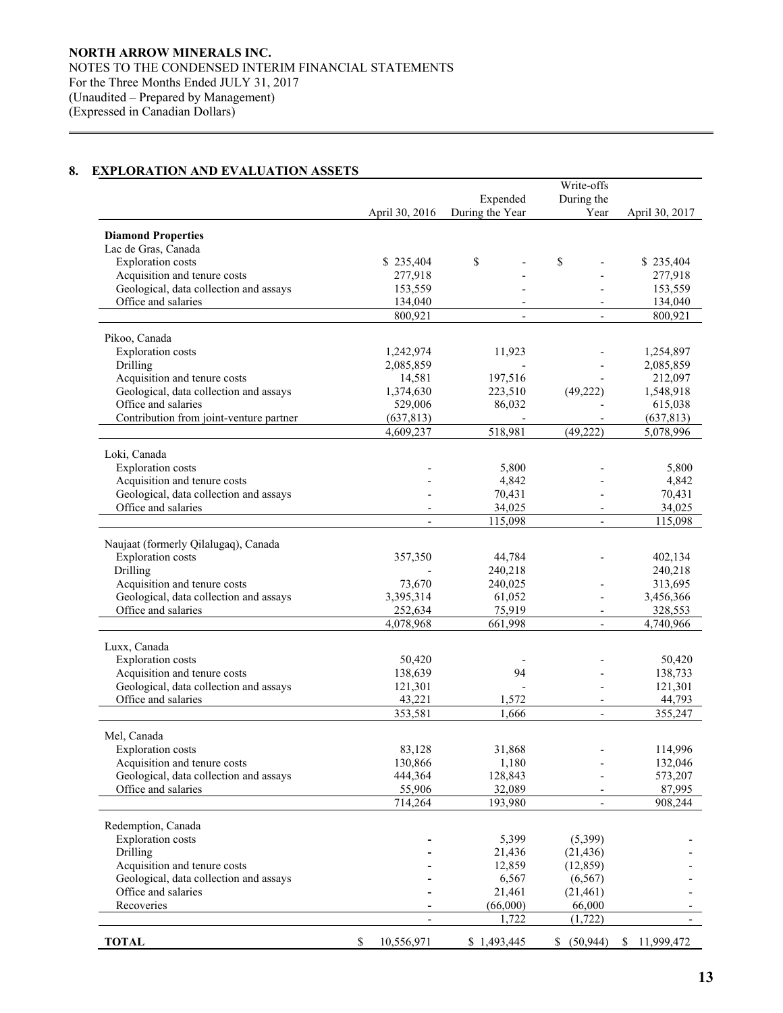# **8. EXPLORATION AND EVALUATION ASSETS**

 $\overline{a}$ 

|                                                                        |      |                      |                          | Write-offs               |                      |
|------------------------------------------------------------------------|------|----------------------|--------------------------|--------------------------|----------------------|
|                                                                        |      |                      | Expended                 | During the               |                      |
|                                                                        |      | April 30, 2016       | During the Year          | Year                     | April 30, 2017       |
|                                                                        |      |                      |                          |                          |                      |
| <b>Diamond Properties</b>                                              |      |                      |                          |                          |                      |
| Lac de Gras, Canada<br><b>Exploration</b> costs                        |      |                      | \$                       |                          |                      |
| Acquisition and tenure costs                                           |      | \$235,404<br>277,918 |                          | \$                       | \$235,404<br>277,918 |
| Geological, data collection and assays                                 |      | 153,559              |                          |                          | 153,559              |
| Office and salaries                                                    |      | 134,040              |                          |                          | 134,040              |
|                                                                        |      | 800,921              | $\overline{\phantom{a}}$ | $\overline{\phantom{a}}$ | 800,921              |
|                                                                        |      |                      |                          |                          |                      |
| Pikoo, Canada                                                          |      |                      |                          |                          |                      |
| <b>Exploration</b> costs                                               |      | 1,242,974            | 11,923                   |                          | 1,254,897            |
| Drilling                                                               |      | 2,085,859            |                          |                          | 2,085,859            |
| Acquisition and tenure costs                                           |      | 14,581               | 197,516                  |                          | 212,097              |
| Geological, data collection and assays                                 |      | 1,374,630            | 223,510                  | (49, 222)                | 1,548,918            |
| Office and salaries                                                    |      | 529,006              | 86,032                   |                          | 615,038              |
| Contribution from joint-venture partner                                |      | (637, 813)           |                          | $\overline{\phantom{a}}$ | (637, 813)           |
|                                                                        |      | 4,609,237            | 518,981                  | (49, 222)                | 5,078,996            |
|                                                                        |      |                      |                          |                          |                      |
| Loki, Canada<br><b>Exploration</b> costs                               |      |                      | 5,800                    |                          | 5,800                |
| Acquisition and tenure costs                                           |      |                      | 4,842                    |                          | 4,842                |
| Geological, data collection and assays                                 |      |                      | 70,431                   |                          | 70,431               |
| Office and salaries                                                    |      |                      | 34,025                   |                          | 34,025               |
|                                                                        |      |                      | 115,098                  |                          |                      |
|                                                                        |      |                      |                          |                          | 115,098              |
| Naujaat (formerly Qilalugaq), Canada                                   |      |                      |                          |                          |                      |
| Exploration costs                                                      |      | 357,350              | 44,784                   |                          | 402,134              |
| Drilling                                                               |      |                      | 240,218                  |                          | 240,218              |
| Acquisition and tenure costs                                           |      | 73,670               | 240,025                  |                          | 313,695              |
| Geological, data collection and assays                                 |      | 3,395,314            | 61,052                   |                          | 3,456,366            |
| Office and salaries                                                    |      | 252,634              | 75,919                   | $\overline{\phantom{a}}$ | 328,553              |
|                                                                        |      | 4,078,968            | 661,998                  |                          | 4,740,966            |
|                                                                        |      |                      |                          |                          |                      |
| Luxx, Canada                                                           |      |                      |                          |                          |                      |
| <b>Exploration</b> costs                                               |      | 50,420               | 94                       |                          | 50,420               |
| Acquisition and tenure costs<br>Geological, data collection and assays |      | 138,639<br>121,301   |                          |                          | 138,733<br>121,301   |
| Office and salaries                                                    |      | 43,221               | 1,572                    |                          | 44,793               |
|                                                                        |      | 353,581              | 1,666                    | $\overline{\phantom{a}}$ | 355,247              |
|                                                                        |      |                      |                          |                          |                      |
| Mel, Canada                                                            |      |                      |                          |                          |                      |
| <b>Exploration</b> costs                                               |      | 83,128               | 31,868                   |                          | 114,996              |
| Acquisition and tenure costs                                           |      | 130,866              | 1,180                    |                          | 132,046              |
| Geological, data collection and assays                                 |      | 444,364              | 128,843                  |                          | 573,207              |
| Office and salaries                                                    |      | 55,906               | 32,089                   |                          | 87,995               |
|                                                                        |      | 714,264              | 193,980                  | $\overline{\phantom{a}}$ | 908,244              |
| Redemption, Canada                                                     |      |                      |                          |                          |                      |
| <b>Exploration</b> costs                                               |      |                      | 5,399                    | (5,399)                  |                      |
| Drilling                                                               |      |                      | 21,436                   | (21, 436)                |                      |
| Acquisition and tenure costs                                           |      |                      | 12,859                   | (12, 859)                |                      |
| Geological, data collection and assays                                 |      |                      | 6,567                    | (6, 567)                 |                      |
| Office and salaries                                                    |      |                      | 21,461                   | (21,461)                 |                      |
| Recoveries                                                             |      |                      | (66,000)                 | 66,000                   |                      |
|                                                                        |      | $\overline{a}$       | 1,722                    | (1, 722)                 |                      |
|                                                                        |      |                      |                          |                          |                      |
| <b>TOTAL</b>                                                           | $\$$ | 10,556,971           | \$1,493,445              | \$ (50,944)              | 11,999,472<br>\$     |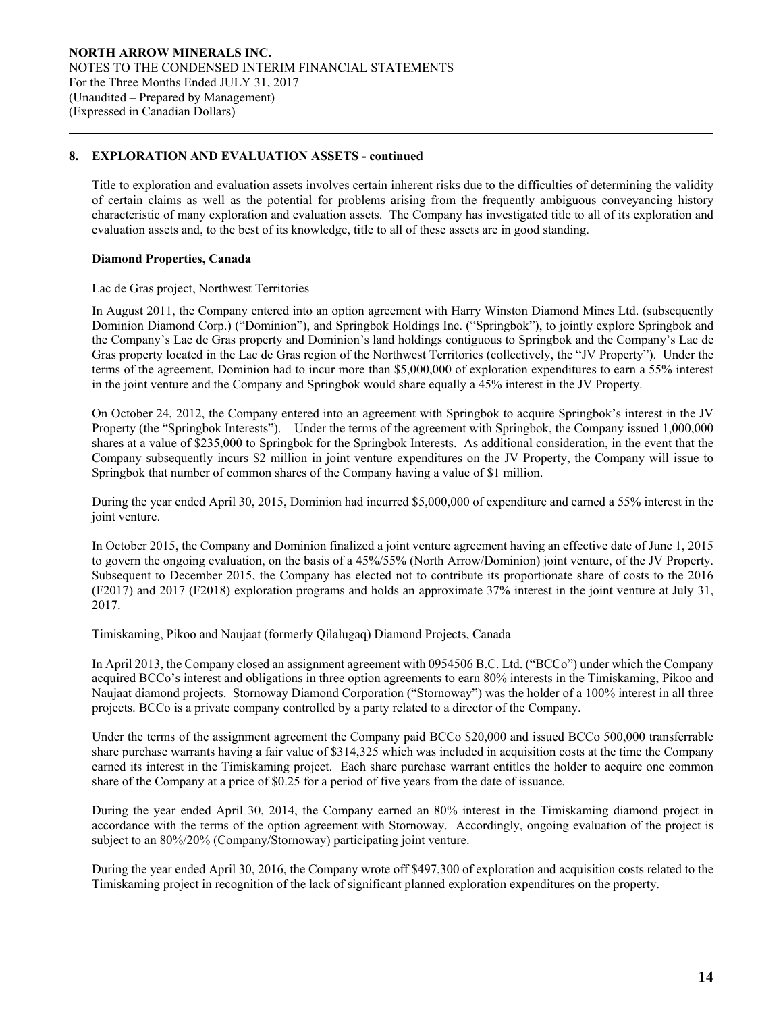Title to exploration and evaluation assets involves certain inherent risks due to the difficulties of determining the validity of certain claims as well as the potential for problems arising from the frequently ambiguous conveyancing history characteristic of many exploration and evaluation assets. The Company has investigated title to all of its exploration and evaluation assets and, to the best of its knowledge, title to all of these assets are in good standing.

### **Diamond Properties, Canada**

 $\overline{a}$ 

#### Lac de Gras project, Northwest Territories

In August 2011, the Company entered into an option agreement with Harry Winston Diamond Mines Ltd. (subsequently Dominion Diamond Corp.) ("Dominion"), and Springbok Holdings Inc. ("Springbok"), to jointly explore Springbok and the Company's Lac de Gras property and Dominion's land holdings contiguous to Springbok and the Company's Lac de Gras property located in the Lac de Gras region of the Northwest Territories (collectively, the "JV Property"). Under the terms of the agreement, Dominion had to incur more than \$5,000,000 of exploration expenditures to earn a 55% interest in the joint venture and the Company and Springbok would share equally a 45% interest in the JV Property.

On October 24, 2012, the Company entered into an agreement with Springbok to acquire Springbok's interest in the JV Property (the "Springbok Interests"). Under the terms of the agreement with Springbok, the Company issued 1,000,000 shares at a value of \$235,000 to Springbok for the Springbok Interests. As additional consideration, in the event that the Company subsequently incurs \$2 million in joint venture expenditures on the JV Property, the Company will issue to Springbok that number of common shares of the Company having a value of \$1 million.

During the year ended April 30, 2015, Dominion had incurred \$5,000,000 of expenditure and earned a 55% interest in the joint venture.

In October 2015, the Company and Dominion finalized a joint venture agreement having an effective date of June 1, 2015 to govern the ongoing evaluation, on the basis of a 45%/55% (North Arrow/Dominion) joint venture, of the JV Property. Subsequent to December 2015, the Company has elected not to contribute its proportionate share of costs to the 2016 (F2017) and 2017 (F2018) exploration programs and holds an approximate 37% interest in the joint venture at July 31, 2017.

Timiskaming, Pikoo and Naujaat (formerly Qilalugaq) Diamond Projects, Canada

In April 2013, the Company closed an assignment agreement with 0954506 B.C. Ltd. ("BCCo") under which the Company acquired BCCo's interest and obligations in three option agreements to earn 80% interests in the Timiskaming, Pikoo and Naujaat diamond projects. Stornoway Diamond Corporation ("Stornoway") was the holder of a 100% interest in all three projects. BCCo is a private company controlled by a party related to a director of the Company.

Under the terms of the assignment agreement the Company paid BCCo \$20,000 and issued BCCo 500,000 transferrable share purchase warrants having a fair value of \$314,325 which was included in acquisition costs at the time the Company earned its interest in the Timiskaming project. Each share purchase warrant entitles the holder to acquire one common share of the Company at a price of \$0.25 for a period of five years from the date of issuance.

During the year ended April 30, 2014, the Company earned an 80% interest in the Timiskaming diamond project in accordance with the terms of the option agreement with Stornoway. Accordingly, ongoing evaluation of the project is subject to an 80%/20% (Company/Stornoway) participating joint venture.

During the year ended April 30, 2016, the Company wrote off \$497,300 of exploration and acquisition costs related to the Timiskaming project in recognition of the lack of significant planned exploration expenditures on the property.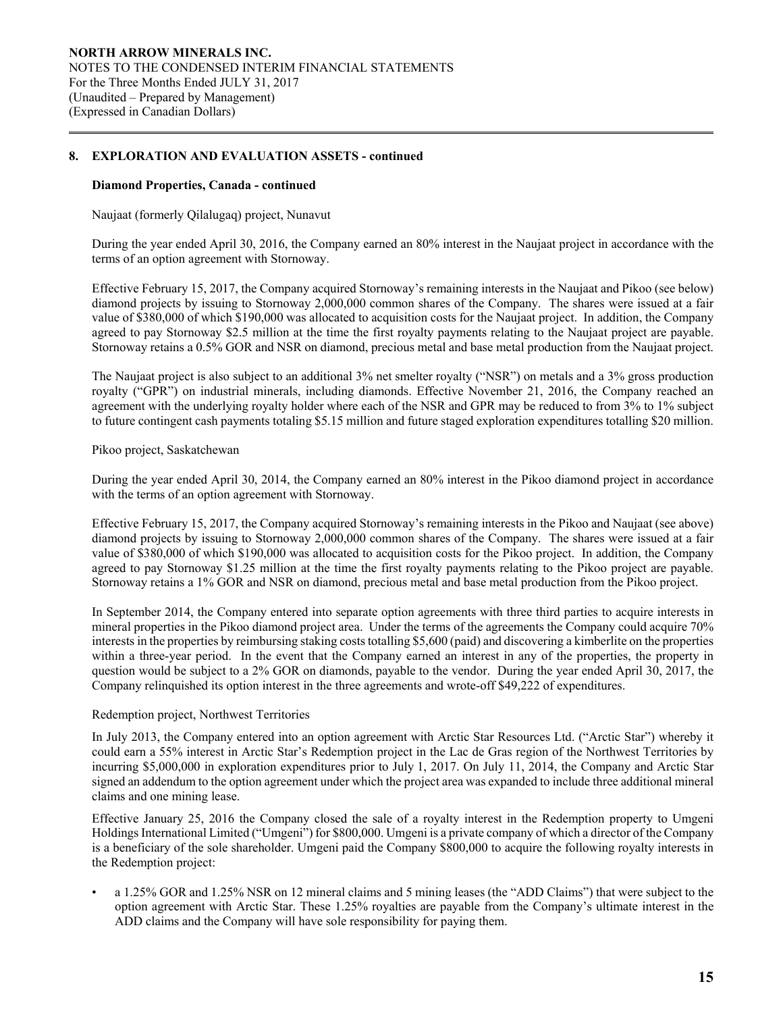#### **Diamond Properties, Canada - continued**

 $\overline{a}$ 

Naujaat (formerly Qilalugaq) project, Nunavut

During the year ended April 30, 2016, the Company earned an 80% interest in the Naujaat project in accordance with the terms of an option agreement with Stornoway.

Effective February 15, 2017, the Company acquired Stornoway's remaining interests in the Naujaat and Pikoo (see below) diamond projects by issuing to Stornoway 2,000,000 common shares of the Company. The shares were issued at a fair value of \$380,000 of which \$190,000 was allocated to acquisition costs for the Naujaat project. In addition, the Company agreed to pay Stornoway \$2.5 million at the time the first royalty payments relating to the Naujaat project are payable. Stornoway retains a 0.5% GOR and NSR on diamond, precious metal and base metal production from the Naujaat project.

The Naujaat project is also subject to an additional 3% net smelter royalty ("NSR") on metals and a 3% gross production royalty ("GPR") on industrial minerals, including diamonds. Effective November 21, 2016, the Company reached an agreement with the underlying royalty holder where each of the NSR and GPR may be reduced to from 3% to 1% subject to future contingent cash payments totaling \$5.15 million and future staged exploration expenditures totalling \$20 million.

### Pikoo project, Saskatchewan

During the year ended April 30, 2014, the Company earned an 80% interest in the Pikoo diamond project in accordance with the terms of an option agreement with Stornoway.

Effective February 15, 2017, the Company acquired Stornoway's remaining interests in the Pikoo and Naujaat (see above) diamond projects by issuing to Stornoway 2,000,000 common shares of the Company. The shares were issued at a fair value of \$380,000 of which \$190,000 was allocated to acquisition costs for the Pikoo project. In addition, the Company agreed to pay Stornoway \$1.25 million at the time the first royalty payments relating to the Pikoo project are payable. Stornoway retains a 1% GOR and NSR on diamond, precious metal and base metal production from the Pikoo project.

In September 2014, the Company entered into separate option agreements with three third parties to acquire interests in mineral properties in the Pikoo diamond project area. Under the terms of the agreements the Company could acquire 70% interests in the properties by reimbursing staking costs totalling \$5,600 (paid) and discovering a kimberlite on the properties within a three-year period. In the event that the Company earned an interest in any of the properties, the property in question would be subject to a 2% GOR on diamonds, payable to the vendor. During the year ended April 30, 2017, the Company relinquished its option interest in the three agreements and wrote-off \$49,222 of expenditures.

#### Redemption project, Northwest Territories

In July 2013, the Company entered into an option agreement with Arctic Star Resources Ltd. ("Arctic Star") whereby it could earn a 55% interest in Arctic Star's Redemption project in the Lac de Gras region of the Northwest Territories by incurring \$5,000,000 in exploration expenditures prior to July 1, 2017. On July 11, 2014, the Company and Arctic Star signed an addendum to the option agreement under which the project area was expanded to include three additional mineral claims and one mining lease.

Effective January 25, 2016 the Company closed the sale of a royalty interest in the Redemption property to Umgeni Holdings International Limited ("Umgeni") for \$800,000. Umgeni is a private company of which a director of the Company is a beneficiary of the sole shareholder. Umgeni paid the Company \$800,000 to acquire the following royalty interests in the Redemption project:

• a 1.25% GOR and 1.25% NSR on 12 mineral claims and 5 mining leases (the "ADD Claims") that were subject to the option agreement with Arctic Star. These 1.25% royalties are payable from the Company's ultimate interest in the ADD claims and the Company will have sole responsibility for paying them.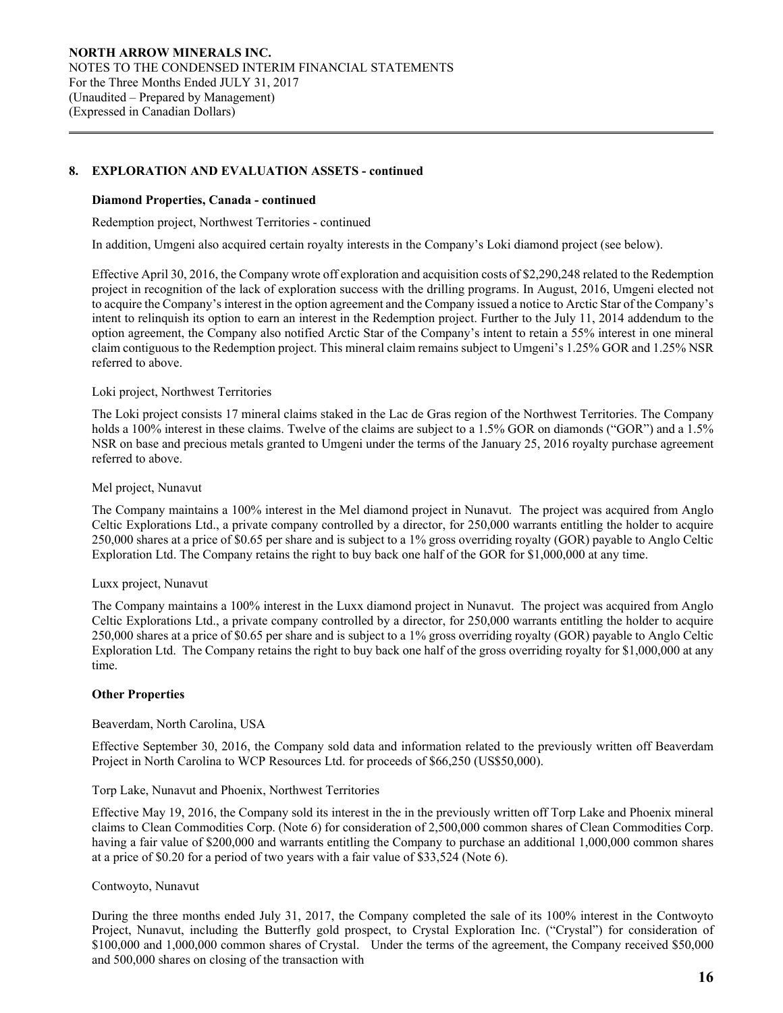### **Diamond Properties, Canada - continued**

 $\overline{a}$ 

Redemption project, Northwest Territories - continued

In addition, Umgeni also acquired certain royalty interests in the Company's Loki diamond project (see below).

Effective April 30, 2016, the Company wrote off exploration and acquisition costs of \$2,290,248 related to the Redemption project in recognition of the lack of exploration success with the drilling programs. In August, 2016, Umgeni elected not to acquire the Company's interest in the option agreement and the Company issued a notice to Arctic Star of the Company's intent to relinquish its option to earn an interest in the Redemption project. Further to the July 11, 2014 addendum to the option agreement, the Company also notified Arctic Star of the Company's intent to retain a 55% interest in one mineral claim contiguous to the Redemption project. This mineral claim remains subject to Umgeni's 1.25% GOR and 1.25% NSR referred to above.

### Loki project, Northwest Territories

The Loki project consists 17 mineral claims staked in the Lac de Gras region of the Northwest Territories. The Company holds a 100% interest in these claims. Twelve of the claims are subject to a 1.5% GOR on diamonds ("GOR") and a 1.5% NSR on base and precious metals granted to Umgeni under the terms of the January 25, 2016 royalty purchase agreement referred to above.

### Mel project, Nunavut

The Company maintains a 100% interest in the Mel diamond project in Nunavut. The project was acquired from Anglo Celtic Explorations Ltd., a private company controlled by a director, for 250,000 warrants entitling the holder to acquire 250,000 shares at a price of \$0.65 per share and is subject to a 1% gross overriding royalty (GOR) payable to Anglo Celtic Exploration Ltd. The Company retains the right to buy back one half of the GOR for \$1,000,000 at any time.

# Luxx project, Nunavut

The Company maintains a 100% interest in the Luxx diamond project in Nunavut. The project was acquired from Anglo Celtic Explorations Ltd., a private company controlled by a director, for 250,000 warrants entitling the holder to acquire 250,000 shares at a price of \$0.65 per share and is subject to a 1% gross overriding royalty (GOR) payable to Anglo Celtic Exploration Ltd. The Company retains the right to buy back one half of the gross overriding royalty for \$1,000,000 at any time.

# **Other Properties**

#### Beaverdam, North Carolina, USA

Effective September 30, 2016, the Company sold data and information related to the previously written off Beaverdam Project in North Carolina to WCP Resources Ltd. for proceeds of \$66,250 (US\$50,000).

#### Torp Lake, Nunavut and Phoenix, Northwest Territories

Effective May 19, 2016, the Company sold its interest in the in the previously written off Torp Lake and Phoenix mineral claims to Clean Commodities Corp. (Note 6) for consideration of 2,500,000 common shares of Clean Commodities Corp. having a fair value of \$200,000 and warrants entitling the Company to purchase an additional 1,000,000 common shares at a price of \$0.20 for a period of two years with a fair value of \$33,524 (Note 6).

#### Contwoyto, Nunavut

During the three months ended July 31, 2017, the Company completed the sale of its 100% interest in the Contwoyto Project, Nunavut, including the Butterfly gold prospect, to Crystal Exploration Inc. ("Crystal") for consideration of \$100,000 and 1,000,000 common shares of Crystal. Under the terms of the agreement, the Company received \$50,000 and 500,000 shares on closing of the transaction with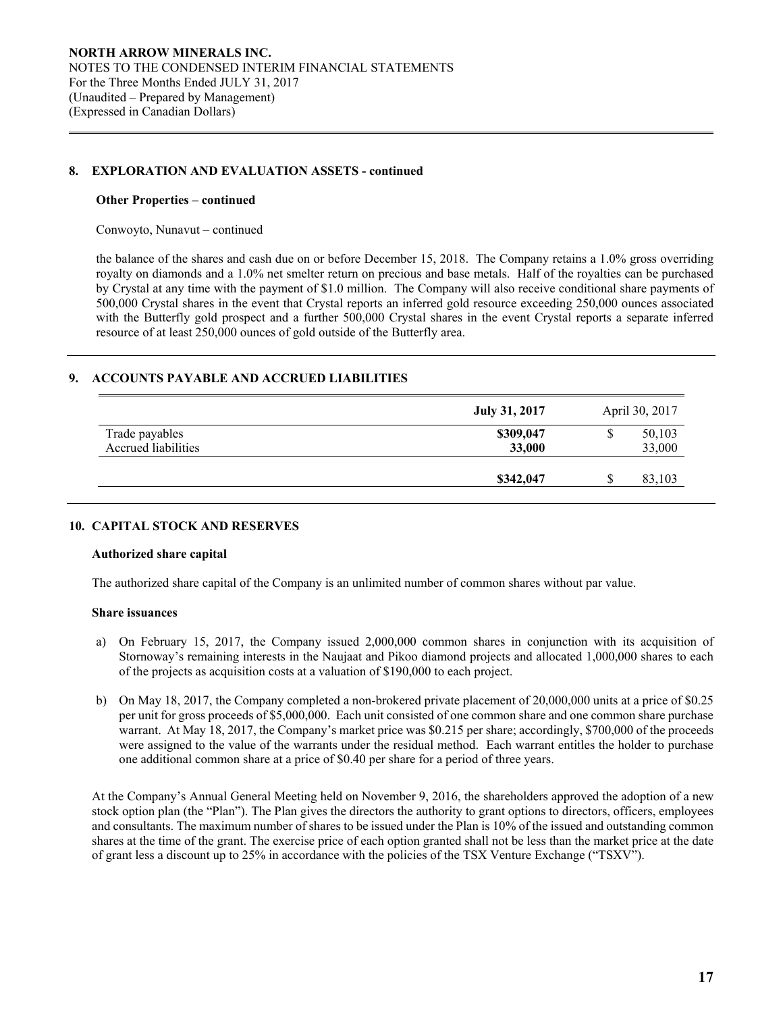#### **Other Properties – continued**

 $\overline{a}$ 

Conwoyto, Nunavut – continued

the balance of the shares and cash due on or before December 15, 2018. The Company retains a 1.0% gross overriding royalty on diamonds and a 1.0% net smelter return on precious and base metals. Half of the royalties can be purchased by Crystal at any time with the payment of \$1.0 million. The Company will also receive conditional share payments of 500,000 Crystal shares in the event that Crystal reports an inferred gold resource exceeding 250,000 ounces associated with the Butterfly gold prospect and a further 500,000 Crystal shares in the event Crystal reports a separate inferred resource of at least 250,000 ounces of gold outside of the Butterfly area.

# **9. ACCOUNTS PAYABLE AND ACCRUED LIABILITIES**

|                                       | July 31, 2017       | April 30, 2017 |                  |  |
|---------------------------------------|---------------------|----------------|------------------|--|
| Trade payables<br>Accrued liabilities | \$309,047<br>33,000 | ۵D             | 50,103<br>33,000 |  |
|                                       | \$342,047           |                | 83,103           |  |

#### **10. CAPITAL STOCK AND RESERVES**

#### **Authorized share capital**

The authorized share capital of the Company is an unlimited number of common shares without par value.

#### **Share issuances**

- a) On February 15, 2017, the Company issued 2,000,000 common shares in conjunction with its acquisition of Stornoway's remaining interests in the Naujaat and Pikoo diamond projects and allocated 1,000,000 shares to each of the projects as acquisition costs at a valuation of \$190,000 to each project.
- b) On May 18, 2017, the Company completed a non-brokered private placement of 20,000,000 units at a price of \$0.25 per unit for gross proceeds of \$5,000,000. Each unit consisted of one common share and one common share purchase warrant. At May 18, 2017, the Company's market price was \$0.215 per share; accordingly, \$700,000 of the proceeds were assigned to the value of the warrants under the residual method. Each warrant entitles the holder to purchase one additional common share at a price of \$0.40 per share for a period of three years.

 At the Company's Annual General Meeting held on November 9, 2016, the shareholders approved the adoption of a new stock option plan (the "Plan"). The Plan gives the directors the authority to grant options to directors, officers, employees and consultants. The maximum number of shares to be issued under the Plan is 10% of the issued and outstanding common shares at the time of the grant. The exercise price of each option granted shall not be less than the market price at the date of grant less a discount up to 25% in accordance with the policies of the TSX Venture Exchange ("TSXV").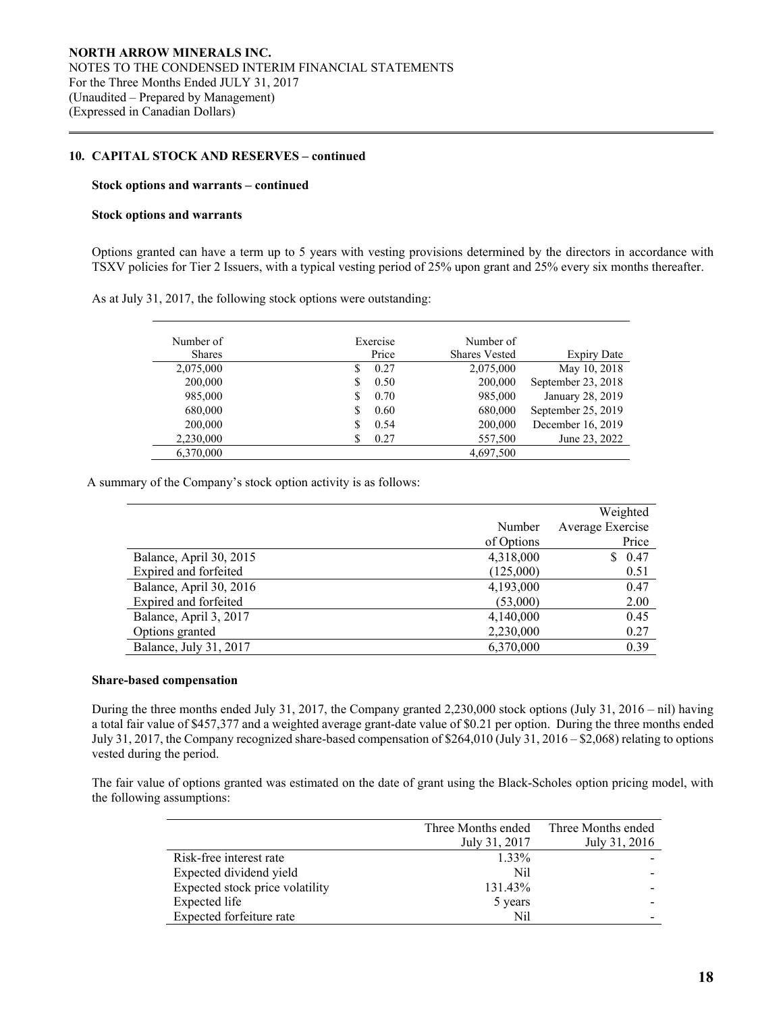### **10. CAPITAL STOCK AND RESERVES – continued**

#### **Stock options and warrants – continued**

#### **Stock options and warrants**

 $\overline{a}$ 

Options granted can have a term up to 5 years with vesting provisions determined by the directors in accordance with TSXV policies for Tier 2 Issuers, with a typical vesting period of 25% upon grant and 25% every six months thereafter.

| As at July 31, 2017, the following stock options were outstanding: |  |  |
|--------------------------------------------------------------------|--|--|
|                                                                    |  |  |

| Number of | Exercise    | Number of            |                    |
|-----------|-------------|----------------------|--------------------|
| Shares    | Price       | <b>Shares Vested</b> | <b>Expiry Date</b> |
| 2,075,000 | 0.27<br>S   | 2,075,000            | May 10, 2018       |
| 200,000   | 0.50<br>S   | 200,000              | September 23, 2018 |
| 985,000   | 0.70<br>S   | 985,000              | January 28, 2019   |
| 680,000   | 0.60<br>\$. | 680,000              | September 25, 2019 |
| 200,000   | 0.54<br>S   | 200,000              | December 16, 2019  |
| 2,230,000 | 0.27        | 557,500              | June 23, 2022      |
| 6,370,000 |             | 4,697,500            |                    |

A summary of the Company's stock option activity is as follows:

|                         |            | Weighted         |
|-------------------------|------------|------------------|
|                         | Number     | Average Exercise |
|                         | of Options | Price            |
| Balance, April 30, 2015 | 4,318,000  | 0.47<br>S.       |
| Expired and forfeited   | (125,000)  | 0.51             |
| Balance, April 30, 2016 | 4,193,000  | 0.47             |
| Expired and forfeited   | (53,000)   | 2.00             |
| Balance, April 3, 2017  | 4,140,000  | 0.45             |
| Options granted         | 2,230,000  | 0.27             |
| Balance, July 31, 2017  | 6,370,000  | 0.39             |

#### **Share-based compensation**

 During the three months ended July 31, 2017, the Company granted 2,230,000 stock options (July 31, 2016 – nil) having a total fair value of \$457,377 and a weighted average grant-date value of \$0.21 per option. During the three months ended July 31, 2017, the Company recognized share-based compensation of \$264,010 (July 31, 2016 – \$2,068) relating to options vested during the period.

The fair value of options granted was estimated on the date of grant using the Black-Scholes option pricing model, with the following assumptions:

|                                 |               | Three Months ended Three Months ended |
|---------------------------------|---------------|---------------------------------------|
|                                 | July 31, 2017 | July 31, 2016                         |
| Risk-free interest rate         | 1.33%         |                                       |
| Expected dividend yield         | Nil           |                                       |
| Expected stock price volatility | 131.43%       |                                       |
| Expected life                   | 5 years       |                                       |
| Expected forfeiture rate        | Nil           |                                       |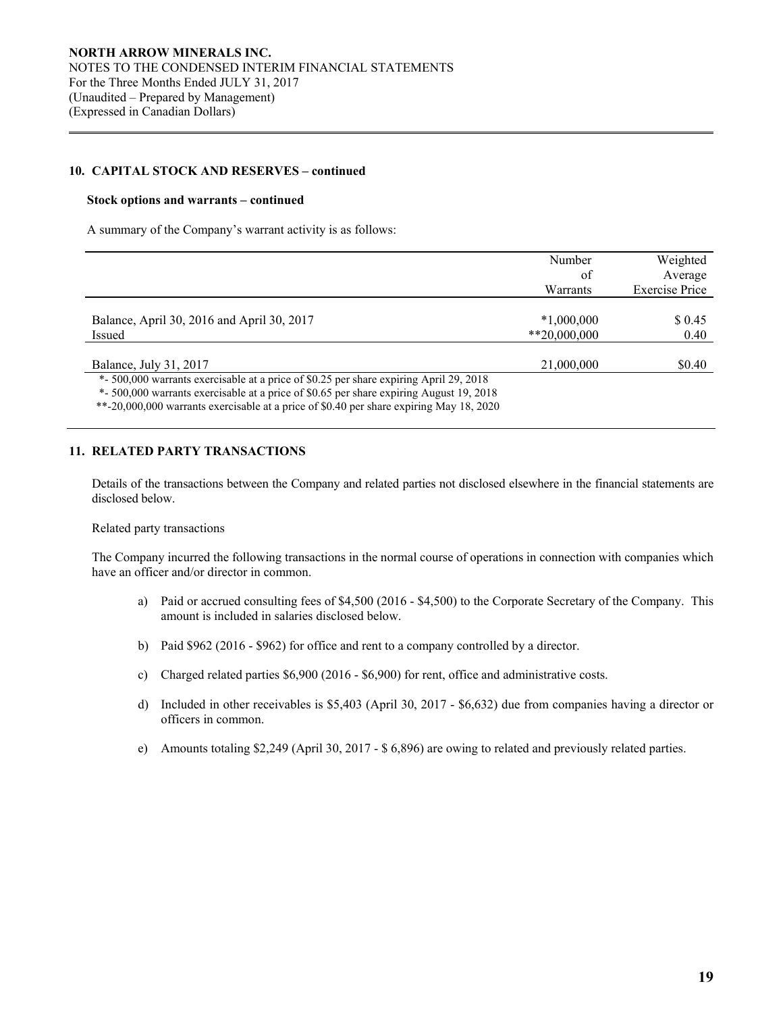### **10. CAPITAL STOCK AND RESERVES – continued**

#### **Stock options and warrants – continued**

 $\overline{a}$ 

A summary of the Company's warrant activity is as follows:

|                                                                                         | Number        | Weighted              |
|-----------------------------------------------------------------------------------------|---------------|-----------------------|
|                                                                                         | of            | Average               |
|                                                                                         | Warrants      | <b>Exercise Price</b> |
|                                                                                         |               |                       |
| Balance, April 30, 2016 and April 30, 2017                                              | $*1,000,000$  | \$ 0.45               |
| Issued                                                                                  | $*20,000,000$ | 0.40                  |
|                                                                                         |               |                       |
| Balance, July 31, 2017                                                                  | 21,000,000    | \$0.40                |
| *- 500,000 warrants exercisable at a price of \$0.25 per share expiring April 29, 2018  |               |                       |
| *- 500,000 warrants exercisable at a price of \$0.65 per share expiring August 19, 2018 |               |                       |
| $*$ 30,000,000 (1 + 11 + 10,000) (1 + 10,000)                                           |               |                       |

\*\*-20,000,000 warrants exercisable at a price of \$0.40 per share expiring May 18, 2020

### **11. RELATED PARTY TRANSACTIONS**

 Details of the transactions between the Company and related parties not disclosed elsewhere in the financial statements are disclosed below.

#### Related party transactions

The Company incurred the following transactions in the normal course of operations in connection with companies which have an officer and/or director in common.

- a) Paid or accrued consulting fees of \$4,500 (2016 \$4,500) to the Corporate Secretary of the Company. This amount is included in salaries disclosed below.
- b) Paid \$962 (2016 \$962) for office and rent to a company controlled by a director.
- c) Charged related parties \$6,900 (2016 \$6,900) for rent, office and administrative costs.
- d) Included in other receivables is \$5,403 (April 30, 2017 \$6,632) due from companies having a director or officers in common.
- e) Amounts totaling \$2,249 (April 30, 2017 \$ 6,896) are owing to related and previously related parties.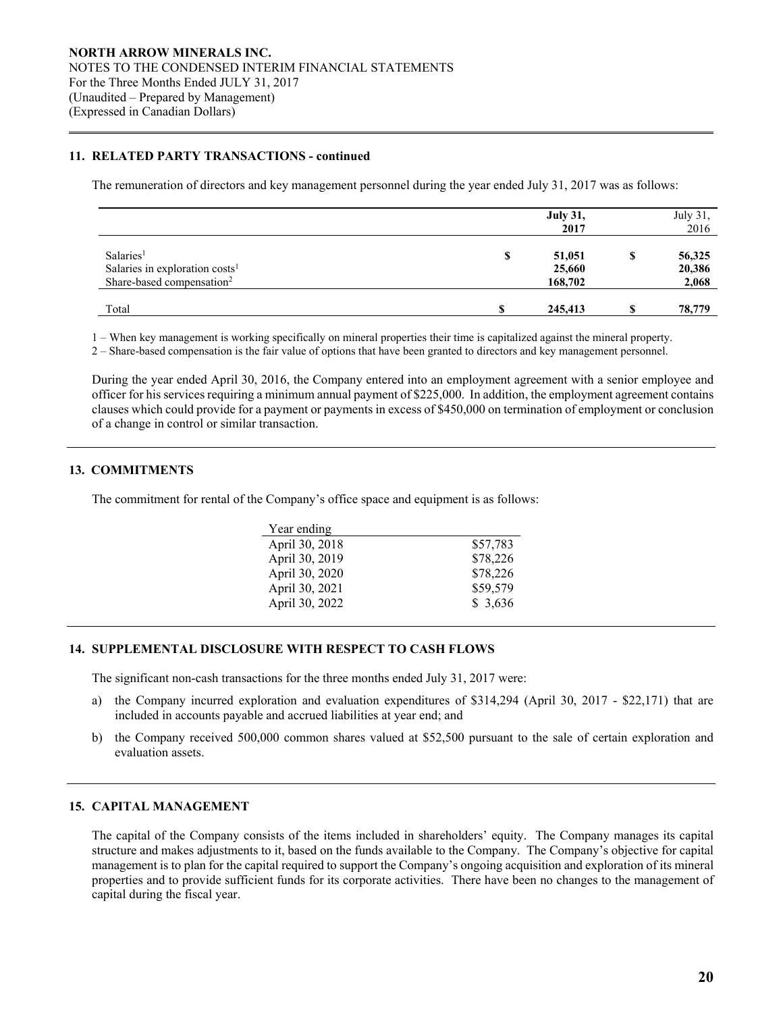# **11. RELATED PARTY TRANSACTIONS - continued**

The remuneration of directors and key management personnel during the year ended July 31, 2017 was as follows:

|                                            | <b>July 31,</b><br>2017 |   | July 31,<br>2016 |
|--------------------------------------------|-------------------------|---|------------------|
| Salaries <sup>1</sup>                      | \$<br>51,051            | Φ | 56,325           |
| Salaries in exploration costs <sup>1</sup> | 25,660                  |   | 20,386           |
| Share-based compensation <sup>2</sup>      | 168,702                 |   | 2,068            |
| Total                                      | 245,413                 |   | 78,779           |

1 – When key management is working specifically on mineral properties their time is capitalized against the mineral property.

2 – Share-based compensation is the fair value of options that have been granted to directors and key management personnel.

During the year ended April 30, 2016, the Company entered into an employment agreement with a senior employee and officer for his services requiring a minimum annual payment of \$225,000. In addition, the employment agreement contains clauses which could provide for a payment or payments in excess of \$450,000 on termination of employment or conclusion of a change in control or similar transaction.

# **13. COMMITMENTS**

 $\overline{a}$ 

The commitment for rental of the Company's office space and equipment is as follows:

| Year ending    |          |
|----------------|----------|
| April 30, 2018 | \$57,783 |
| April 30, 2019 | \$78,226 |
| April 30, 2020 | \$78,226 |
| April 30, 2021 | \$59,579 |
| April 30, 2022 | \$3,636  |

### **14. SUPPLEMENTAL DISCLOSURE WITH RESPECT TO CASH FLOWS**

The significant non-cash transactions for the three months ended July 31, 2017 were:

- a) the Company incurred exploration and evaluation expenditures of \$314,294 (April 30, 2017 \$22,171) that are included in accounts payable and accrued liabilities at year end; and
- b) the Company received 500,000 common shares valued at \$52,500 pursuant to the sale of certain exploration and evaluation assets.

#### **15. CAPITAL MANAGEMENT**

The capital of the Company consists of the items included in shareholders' equity. The Company manages its capital structure and makes adjustments to it, based on the funds available to the Company. The Company's objective for capital management is to plan for the capital required to support the Company's ongoing acquisition and exploration of its mineral properties and to provide sufficient funds for its corporate activities. There have been no changes to the management of capital during the fiscal year.